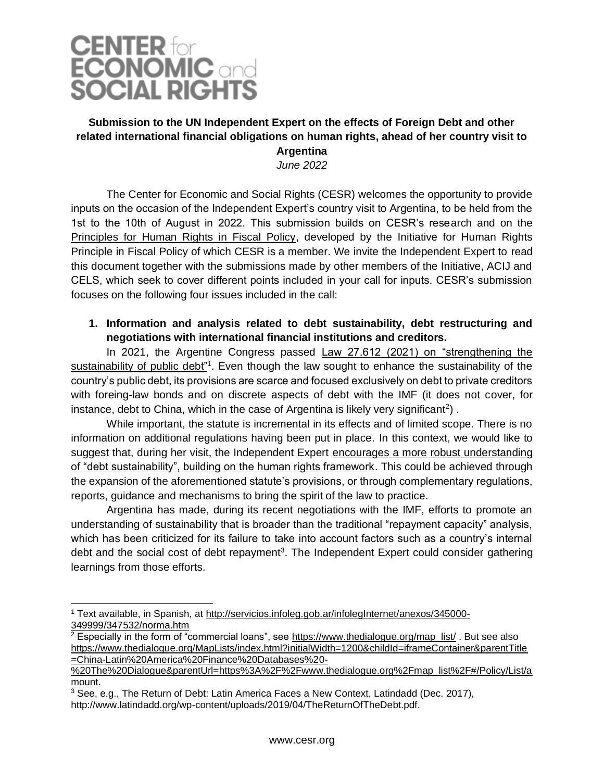

### **Submission to the UN Independent Expert on the effects of Foreign Debt and other related international financial obligations on human rights, ahead of her country visit to Argentina**

*June 2022*

The Center for Economic and Social Rights (CESR) welcomes the opportunity to provide inputs on the occasion of the Independent Expert's country visit to Argentina, to be held from the 1st to the 10th of August in 2022. This submission builds on CESR's research and on the [Principles for Human Rights in Fiscal Policy,](https://derechosypoliticafiscal.org/en/) developed by the Initiative for Human Rights Principle in Fiscal Policy of which CESR is a member. We invite the Independent Expert to read this document together with the submissions made by other members of the Initiative, ACIJ and CELS, which seek to cover different points included in your call for inputs. CESR's submission focuses on the following four issues included in the call:

#### **1. Information and analysis related to debt sustainability, debt restructuring and negotiations with international financial institutions and creditors.**

In 2021, the Argentine Congress passed Law 27.612 (2021) on "strengthening the sustainability of public debt"<sup>1</sup>. Even though the law sought to enhance the sustainability of the country's public debt, its provisions are scarce and focused exclusively on debt to private creditors with foreing-law bonds and on discrete aspects of debt with the IMF (it does not cover, for instance, debt to China, which in the case of Argentina is likely very significant<sup>2</sup>).

While important, the statute is incremental in its effects and of limited scope. There is no information on additional regulations having been put in place. In this context, we would like to suggest that, during her visit, the Independent Expert encourages a more robust understanding of "debt sustainability", building on the human rights framework. This could be achieved through the expansion of the aforementioned statute's provisions, or through complementary regulations, reports, guidance and mechanisms to bring the spirit of the law to practice.

Argentina has made, during its recent negotiations with the IMF, efforts to promote an understanding of sustainability that is broader than the traditional "repayment capacity" analysis, which has been criticized for its failure to take into account factors such as a country's internal debt and the social cost of debt repayment<sup>3</sup>. The Independent Expert could consider gathering learnings from those efforts.

<sup>1</sup> Text available, in Spanish, at [http://servicios.infoleg.gob.ar/infolegInternet/anexos/345000-](http://servicios.infoleg.gob.ar/infolegInternet/anexos/345000-349999/347532/norma.htm) [349999/347532/norma.htm](http://servicios.infoleg.gob.ar/infolegInternet/anexos/345000-349999/347532/norma.htm)

 $2$  Especially in the form of "commercial loans", see [https://www.thedialogue.org/map\\_list/](https://www.thedialogue.org/map_list/). But see also [https://www.thedialogue.org/MapLists/index.html?initialWidth=1200&childId=iframeContainer&parentTitle](https://www.thedialogue.org/MapLists/index.html?initialWidth=1200&childId=iframeContainer&parentTitle=China-Latin%20America%20Finance%20Databases%20-%20The%20Dialogue&parentUrl=https%3A%2F%2Fwww.thedialogue.org%2Fmap_list%2F#/Policy/List/amount) [=China-Latin%20America%20Finance%20Databases%20-](https://www.thedialogue.org/MapLists/index.html?initialWidth=1200&childId=iframeContainer&parentTitle=China-Latin%20America%20Finance%20Databases%20-%20The%20Dialogue&parentUrl=https%3A%2F%2Fwww.thedialogue.org%2Fmap_list%2F#/Policy/List/amount)

[<sup>%20</sup>The%20Dialogue&parentUrl=https%3A%2F%2Fwww.thedialogue.org%2Fmap\\_list%2F#/Policy/List/a](https://www.thedialogue.org/MapLists/index.html?initialWidth=1200&childId=iframeContainer&parentTitle=China-Latin%20America%20Finance%20Databases%20-%20The%20Dialogue&parentUrl=https%3A%2F%2Fwww.thedialogue.org%2Fmap_list%2F#/Policy/List/amount) [mount.](https://www.thedialogue.org/MapLists/index.html?initialWidth=1200&childId=iframeContainer&parentTitle=China-Latin%20America%20Finance%20Databases%20-%20The%20Dialogue&parentUrl=https%3A%2F%2Fwww.thedialogue.org%2Fmap_list%2F#/Policy/List/amount)

 $3$  See, e.g., The Return of Debt: Latin America Faces a New Context, Latindadd (Dec. 2017), http://www.latindadd.org/wp-content/uploads/2019/04/TheReturnOfTheDebt.pdf.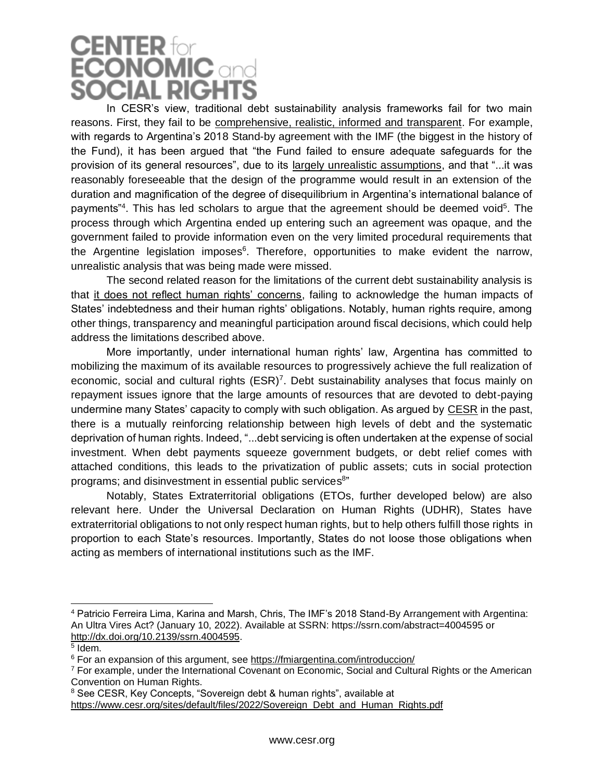# **CENTER for**<br>**ECONOMIC** and **SOCIAL RIGHT**

In CESR's view, traditional debt sustainability analysis frameworks fail for two main reasons. First, they fail to be comprehensive, realistic, informed and transparent. For example, with regards to Argentina's 2018 Stand-by agreement with the IMF (the biggest in the history of the Fund), it has been argued that "the Fund failed to ensure adequate safeguards for the provision of its general resources", due to its largely unrealistic assumptions, and that "...it was reasonably foreseeable that the design of the programme would result in an extension of the duration and magnification of the degree of disequilibrium in Argentina's international balance of payments<sup>"4</sup>. This has led scholars to argue that the agreement should be deemed void<sup>5</sup>. The process through which Argentina ended up entering such an agreement was opaque, and the government failed to provide information even on the very limited procedural requirements that the Argentine legislation imposes<sup>6</sup>. Therefore, opportunities to make evident the narrow, unrealistic analysis that was being made were missed.

The second related reason for the limitations of the current debt sustainability analysis is that it does not reflect human rights' concerns, failing to acknowledge the human impacts of States' indebtedness and their human rights' obligations. Notably, human rights require, among other things, transparency and meaningful participation around fiscal decisions, which could help address the limitations described above.

More importantly, under international human rights' law, Argentina has committed to mobilizing the maximum of its available resources to progressively achieve the full realization of economic, social and cultural rights  $(ESR)^7$ . Debt sustainability analyses that focus mainly on repayment issues ignore that the large amounts of resources that are devoted to debt-paying undermine many States' capacity to comply with such obligation. As argued by [CESR](https://progressive.international/blueprint/a54a1e12-0227-466e-a5e9-e3733231f379-rights-not-debts/en) in the past, there is a mutually reinforcing relationship between high levels of debt and the systematic deprivation of human rights. Indeed, "...debt servicing is often undertaken at the expense of social investment. When debt payments squeeze government budgets, or debt relief comes with attached conditions, this leads to the privatization of public assets; cuts in social protection programs; and disinvestment in essential public services<sup>8</sup>"

Notably, States Extraterritorial obligations (ETOs, further developed below) are also relevant here. Under the Universal Declaration on Human Rights (UDHR), States have extraterritorial obligations to not only respect human rights, but to help others fulfill those rights in proportion to each State's resources. Importantly, States do not loose those obligations when acting as members of international institutions such as the IMF.

<sup>4</sup> Patricio Ferreira Lima, Karina and Marsh, Chris, The IMF's 2018 Stand-By Arrangement with Argentina: An Ultra Vires Act? (January 10, 2022). Available at SSRN: https://ssrn.com/abstract=4004595 or [http://dx.doi.org/10.2139/ssrn.4004595.](http://dx.doi.org/10.2139/ssrn.4004595)

<sup>5</sup> Idem.

<sup>&</sup>lt;sup>6</sup> For an expansion of this argument, see<https://fmiargentina.com/introduccion/>

<sup>7</sup> For example, under the International Covenant on Economic, Social and Cultural Rights or the American Convention on Human Rights.

<sup>8</sup> See CESR, Key Concepts, "Sovereign debt & human rights", available at

[https://www.cesr.org/sites/default/files/2022/Sovereign\\_Debt\\_and\\_Human\\_Rights.pdf](https://www.cesr.org/sites/default/files/2022/Sovereign_Debt_and_Human_Rights.pdf)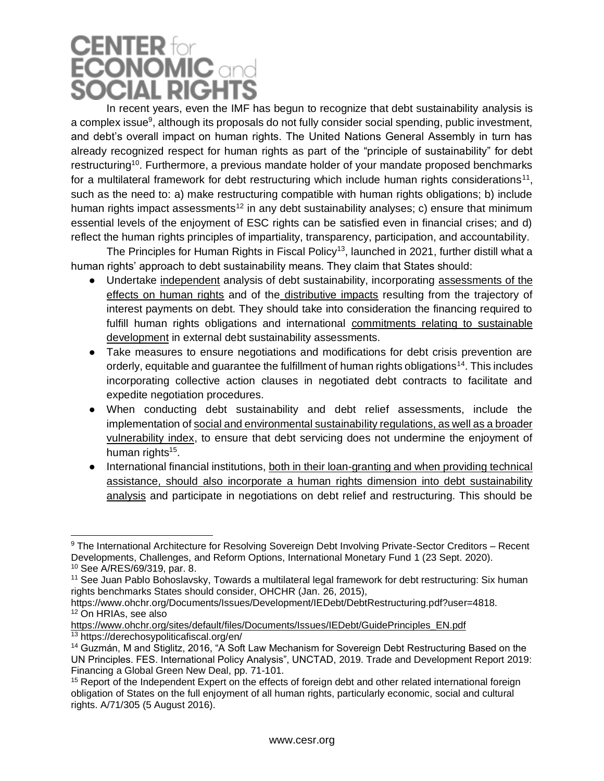### **CENTER** for **ECONOMIC** and **SOCIAL RIGHTS**

In recent years, even the IMF has begun to recognize that debt sustainability analysis is a complex issue<sup>9</sup>, although its proposals do not fully consider social spending, public investment, and debt's overall impact on human rights. The United Nations General Assembly in turn has already recognized respect for human rights as part of the "principle of sustainability" for debt restructuring<sup>10</sup>. Furthermore, a previous mandate holder of your mandate proposed benchmarks for a multilateral framework for debt restructuring which include human rights considerations<sup>11</sup>, such as the need to: a) make restructuring compatible with human rights obligations; b) include human rights impact assessments<sup>12</sup> in any debt sustainability analyses; c) ensure that minimum essential levels of the enjoyment of ESC rights can be satisfied even in financial crises; and d) reflect the human rights principles of impartiality, transparency, participation, and accountability.

The Principles for Human Rights in Fiscal Policy<sup>13</sup>, launched in 2021, further distill what a human rights' approach to debt sustainability means. They claim that States should:

- Undertake independent analysis of debt sustainability, incorporating assessments of the effects on human rights and of the distributive impacts resulting from the trajectory of interest payments on debt. They should take into consideration the financing required to fulfill human rights obligations and international commitments relating to sustainable development in external debt sustainability assessments.
- Take measures to ensure negotiations and modifications for debt crisis prevention are orderly, equitable and quarantee the fulfillment of human rights obligations<sup>14</sup>. This includes incorporating collective action clauses in negotiated debt contracts to facilitate and expedite negotiation procedures.
- When conducting debt sustainability and debt relief assessments, include the implementation of social and environmental sustainability regulations, as well as a broader vulnerability index, to ensure that debt servicing does not undermine the enjoyment of human rights<sup>15</sup>.
- International financial institutions, both in their loan-granting and when providing technical assistance, should also incorporate a human rights dimension into debt sustainability analysis and participate in negotiations on debt relief and restructuring. This should be

<sup>&</sup>lt;sup>9</sup> The International Architecture for Resolving Sovereign Debt Involving Private-Sector Creditors – Recent Developments, Challenges, and Reform Options, International Monetary Fund 1 (23 Sept. 2020). <sup>10</sup> See A/RES/69/319, par. 8.

<sup>11</sup> See Juan Pablo Bohoslavsky, Towards a multilateral legal framework for debt restructuring: Six human rights benchmarks States should consider, OHCHR (Jan. 26, 2015),

https://www.ohchr.org/Documents/Issues/Development/IEDebt/DebtRestructuring.pdf?user=4818. <sup>12</sup> On HRIAs, see also

[https://www.ohchr.org/sites/default/files/Documents/Issues/IEDebt/GuidePrinciples\\_EN.pdf](https://www.ohchr.org/sites/default/files/Documents/Issues/IEDebt/GuidePrinciples_EN.pdf)

<sup>13</sup> https://derechosypoliticafiscal.org/en/

<sup>14</sup> Guzmán, M and Stiglitz, 2016, "A Soft Law Mechanism for Sovereign Debt Restructuring Based on the UN Principles. FES. International Policy Analysis", UNCTAD, 2019. Trade and Development Report 2019: Financing a Global Green New Deal, pp. 71-101.

<sup>&</sup>lt;sup>15</sup> Report of the Independent Expert on the effects of foreign debt and other related international foreign obligation of States on the full enjoyment of all human rights, particularly economic, social and cultural rights. A/71/305 (5 August 2016).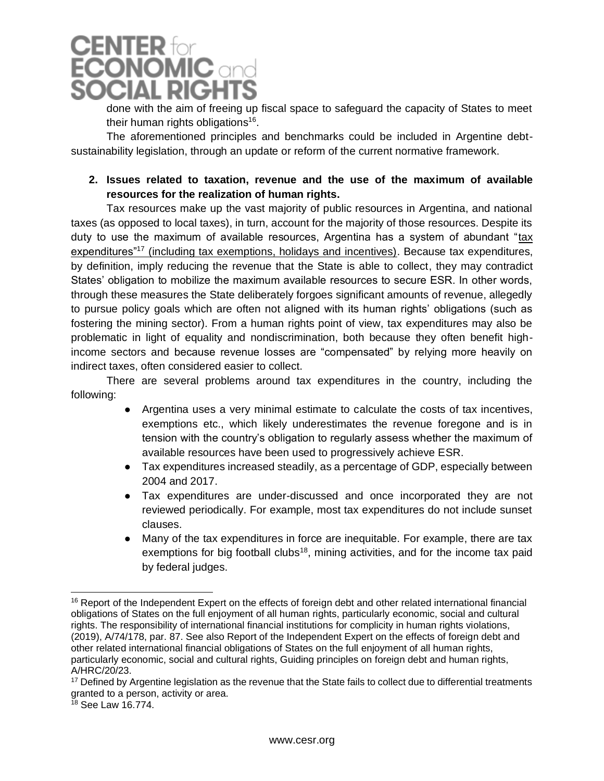

done with the aim of freeing up fiscal space to safeguard the capacity of States to meet their human rights obligations<sup>16</sup>.

The aforementioned principles and benchmarks could be included in Argentine debtsustainability legislation, through an update or reform of the current normative framework.

#### **2. Issues related to taxation, revenue and the use of the maximum of available resources for the realization of human rights.**

Tax resources make up the vast majority of public resources in Argentina, and national taxes (as opposed to local taxes), in turn, account for the majority of those resources. Despite its duty to use the maximum of available resources, Argentina has a system of abundant "tax expenditures"<sup>17</sup> (including tax exemptions, holidays and incentives). Because tax expenditures, by definition, imply reducing the revenue that the State is able to collect, they may contradict States' obligation to mobilize the maximum available resources to secure ESR. In other words, through these measures the State deliberately forgoes significant amounts of revenue, allegedly to pursue policy goals which are often not aligned with its human rights' obligations (such as fostering the mining sector). From a human rights point of view, tax expenditures may also be problematic in light of equality and nondiscrimination, both because they often benefit highincome sectors and because revenue losses are "compensated" by relying more heavily on indirect taxes, often considered easier to collect.

There are several problems around tax expenditures in the country, including the following:

- Argentina uses a very minimal estimate to calculate the costs of tax incentives, exemptions etc., which likely underestimates the revenue foregone and is in tension with the country's obligation to regularly assess whether the maximum of available resources have been used to progressively achieve ESR.
- Tax expenditures increased steadily, as a percentage of GDP, especially between 2004 and 2017.
- Tax expenditures are under-discussed and once incorporated they are not reviewed periodically. For example, most tax expenditures do not include sunset clauses.
- Many of the tax expenditures in force are inequitable. For example, there are tax exemptions for big football clubs<sup>18</sup>, mining activities, and for the income tax paid by federal judges.

<sup>&</sup>lt;sup>16</sup> Report of the Independent Expert on the effects of foreign debt and other related international financial obligations of States on the full enjoyment of all human rights, particularly economic, social and cultural rights. The responsibility of international financial institutions for complicity in human rights violations, (2019), A/74/178, par. 87. See also Report of the Independent Expert on the effects of foreign debt and other related international financial obligations of States on the full enjoyment of all human rights, particularly economic, social and cultural rights, Guiding principles on foreign debt and human rights, A/HRC/20/23.

<sup>&</sup>lt;sup>17</sup> Defined by Argentine legislation as the revenue that the State fails to collect due to differential treatments granted to a person, activity or area.

 $18$  See Law 16.774.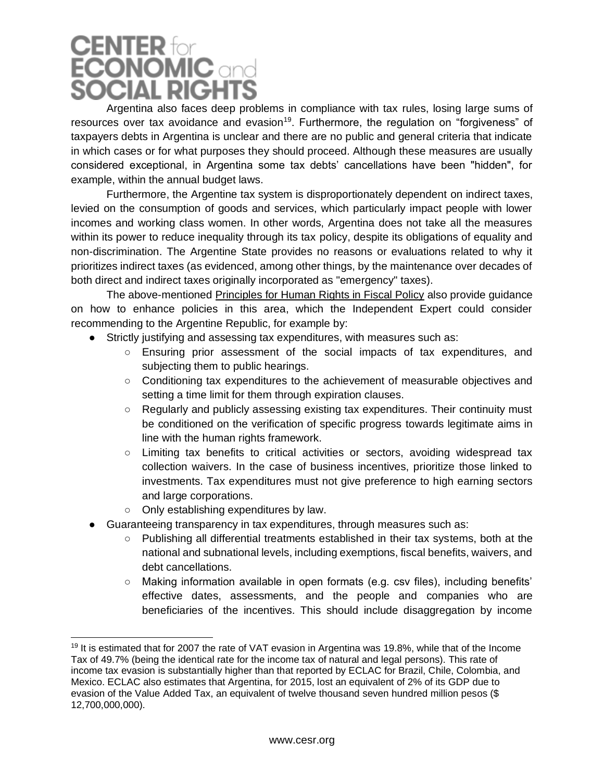# **CENTER for**<br>**ECONOMIC and SOCIAL RIGHTS**

Argentina also faces deep problems in compliance with tax rules, losing large sums of resources over tax avoidance and evasion<sup>19</sup>. Furthermore, the regulation on "forgiveness" of taxpayers debts in Argentina is unclear and there are no public and general criteria that indicate in which cases or for what purposes they should proceed. Although these measures are usually considered exceptional, in Argentina some tax debts' cancellations have been "hidden", for example, within the annual budget laws.

Furthermore, the Argentine tax system is disproportionately dependent on indirect taxes, levied on the consumption of goods and services, which particularly impact people with lower incomes and working class women. In other words, Argentina does not take all the measures within its power to reduce inequality through its tax policy, despite its obligations of equality and non-discrimination. The Argentine State provides no reasons or evaluations related to why it prioritizes indirect taxes (as evidenced, among other things, by the maintenance over decades of both direct and indirect taxes originally incorporated as "emergency" taxes).

The above-mentioned Principles for Human Rights in Fiscal Policy also provide guidance on how to enhance policies in this area, which the Independent Expert could consider recommending to the Argentine Republic, for example by:

- Strictly justifying and assessing tax expenditures, with measures such as:
	- Ensuring prior assessment of the social impacts of tax expenditures, and subjecting them to public hearings.
	- Conditioning tax expenditures to the achievement of measurable objectives and setting a time limit for them through expiration clauses.
	- Regularly and publicly assessing existing tax expenditures. Their continuity must be conditioned on the verification of specific progress towards legitimate aims in line with the human rights framework.
	- Limiting tax benefits to critical activities or sectors, avoiding widespread tax collection waivers. In the case of business incentives, prioritize those linked to investments. Tax expenditures must not give preference to high earning sectors and large corporations.
	- Only establishing expenditures by law.
- Guaranteeing transparency in tax expenditures, through measures such as:
	- Publishing all differential treatments established in their tax systems, both at the national and subnational levels, including exemptions, fiscal benefits, waivers, and debt cancellations.
	- Making information available in open formats (e.g. csv files), including benefits' effective dates, assessments, and the people and companies who are beneficiaries of the incentives. This should include disaggregation by income

<sup>&</sup>lt;sup>19</sup> It is estimated that for 2007 the rate of VAT evasion in Argentina was 19.8%, while that of the Income Tax of 49.7% (being the identical rate for the income tax of natural and legal persons). This rate of income tax evasion is substantially higher than that reported by ECLAC for Brazil, Chile, Colombia, and Mexico. ECLAC also estimates that Argentina, for 2015, lost an equivalent of 2% of its GDP due to evasion of the Value Added Tax, an equivalent of twelve thousand seven hundred million pesos (\$ 12,700,000,000).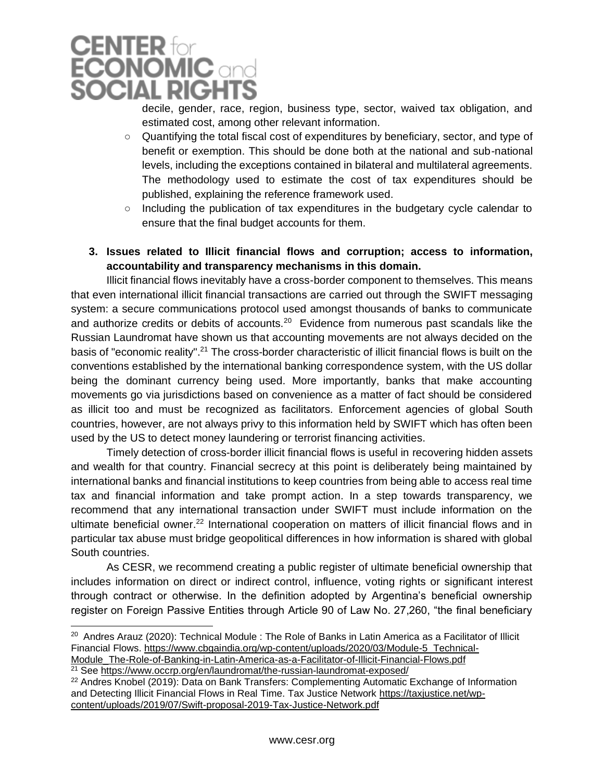

decile, gender, race, region, business type, sector, waived tax obligation, and estimated cost, among other relevant information.

- Quantifying the total fiscal cost of expenditures by beneficiary, sector, and type of benefit or exemption. This should be done both at the national and sub-national levels, including the exceptions contained in bilateral and multilateral agreements. The methodology used to estimate the cost of tax expenditures should be published, explaining the reference framework used.
- $\circ$  Including the publication of tax expenditures in the budgetary cycle calendar to ensure that the final budget accounts for them.

#### **3. Issues related to Illicit financial flows and corruption; access to information, accountability and transparency mechanisms in this domain.**

Illicit financial flows inevitably have a cross-border component to themselves. This means that even international illicit financial transactions are carried out through the SWIFT messaging system: a secure communications protocol used amongst thousands of banks to communicate and authorize credits or debits of accounts.<sup>20</sup> Evidence from numerous past scandals like the Russian Laundromat have shown us that accounting movements are not always decided on the basis of "economic reality".<sup>21</sup> The cross-border characteristic of illicit financial flows is built on the conventions established by the international banking correspondence system, with the US dollar being the dominant currency being used. More importantly, banks that make accounting movements go via jurisdictions based on convenience as a matter of fact should be considered as illicit too and must be recognized as facilitators. Enforcement agencies of global South countries, however, are not always privy to this information held by SWIFT which has often been used by the US to detect money laundering or terrorist financing activities.

Timely detection of cross-border illicit financial flows is useful in recovering hidden assets and wealth for that country. Financial secrecy at this point is deliberately being maintained by international banks and financial institutions to keep countries from being able to access real time tax and financial information and take prompt action. In a step towards transparency, we recommend that any international transaction under SWIFT must include information on the ultimate beneficial owner.<sup>22</sup> International cooperation on matters of illicit financial flows and in particular tax abuse must bridge geopolitical differences in how information is shared with global South countries.

As CESR, we recommend creating a public register of ultimate beneficial ownership that includes information on direct or indirect control, influence, voting rights or significant interest through contract or otherwise. In the definition adopted by Argentina's beneficial ownership register on Foreign Passive Entities through Article 90 of Law No. 27,260, "the final beneficiary

<sup>&</sup>lt;sup>20</sup> Andres Arauz (2020): Technical Module : The Role of Banks in Latin America as a Facilitator of Illicit Financial Flows. [https://www.cbgaindia.org/wp-content/uploads/2020/03/Module-5\\_Technical-](https://www.cbgaindia.org/wp-content/uploads/2020/03/Module-5_Technical-Module_The-Role-of-Banking-in-Latin-America-as-a-Facilitator-of-Illicit-Financial-Flows.pdf)[Module\\_The-Role-of-Banking-in-Latin-America-as-a-Facilitator-of-Illicit-Financial-Flows.pdf](https://www.cbgaindia.org/wp-content/uploads/2020/03/Module-5_Technical-Module_The-Role-of-Banking-in-Latin-America-as-a-Facilitator-of-Illicit-Financial-Flows.pdf)

<sup>&</sup>lt;sup>21</sup> See<https://www.occrp.org/en/laundromat/the-russian-laundromat-exposed/>

<sup>&</sup>lt;sup>22</sup> Andres Knobel (2019): Data on Bank Transfers: Complementing Automatic Exchange of Information and Detecting Illicit Financial Flows in Real Time. Tax Justice Network [https://taxjustice.net/wp](https://taxjustice.net/wp-content/uploads/2019/07/Swift-proposal-2019-Tax-Justice-Network.pdf)[content/uploads/2019/07/Swift-proposal-2019-Tax-Justice-Network.pdf](https://taxjustice.net/wp-content/uploads/2019/07/Swift-proposal-2019-Tax-Justice-Network.pdf)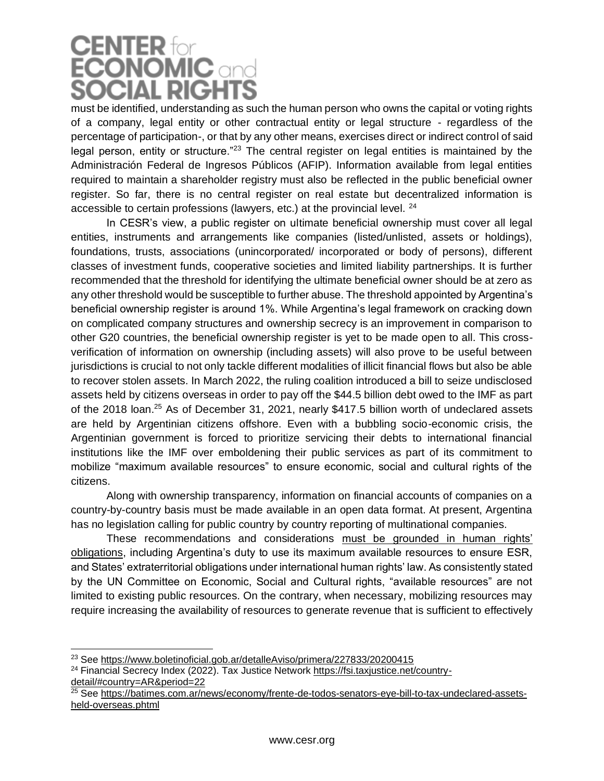## **CENTER for**<br>**ECONOMIC** and **SOCIAL RIGHTS**

must be identified, understanding as such the human person who owns the capital or voting rights of a company, legal entity or other contractual entity or legal structure - regardless of the percentage of participation-, or that by any other means, exercises direct or indirect control of said legal person, entity or structure."<sup>23</sup> The central register on legal entities is maintained by the Administración Federal de Ingresos Públicos (AFIP). Information available from legal entities required to maintain a shareholder registry must also be reflected in the public beneficial owner register. So far, there is no central register on real estate but decentralized information is accessible to certain professions (lawyers, etc.) at the provincial level. <sup>24</sup>

In CESR's view, a public register on ultimate beneficial ownership must cover all legal entities, instruments and arrangements like companies (listed/unlisted, assets or holdings), foundations, trusts, associations (unincorporated/ incorporated or body of persons), different classes of investment funds, cooperative societies and limited liability partnerships. It is further recommended that the threshold for identifying the ultimate beneficial owner should be at zero as any other threshold would be susceptible to further abuse. The threshold appointed by Argentina's beneficial ownership register is around 1%. While Argentina's legal framework on cracking down on complicated company structures and ownership secrecy is an improvement in comparison to other G20 countries, the beneficial ownership register is yet to be made open to all. This crossverification of information on ownership (including assets) will also prove to be useful between jurisdictions is crucial to not only tackle different modalities of illicit financial flows but also be able to recover stolen assets. In March 2022, the ruling coalition introduced a bill to seize undisclosed assets held by citizens overseas in order to pay off the \$44.5 billion debt owed to the IMF as part of the 2018 loan.<sup>25</sup> As of December 31, 2021, nearly \$417.5 billion worth of undeclared assets are held by Argentinian citizens offshore. Even with a bubbling socio-economic crisis, the Argentinian government is forced to prioritize servicing their debts to international financial institutions like the IMF over emboldening their public services as part of its commitment to mobilize "maximum available resources" to ensure economic, social and cultural rights of the citizens.

Along with ownership transparency, information on financial accounts of companies on a country-by-country basis must be made available in an open data format. At present, Argentina has no legislation calling for public country by country reporting of multinational companies.

These recommendations and considerations must be grounded in human rights' obligations, including Argentina's duty to use its maximum available resources to ensure ESR, and States' extraterritorial obligations under international human rights' law. As consistently stated by the UN Committee on Economic, Social and Cultural rights, "available resources" are not limited to existing public resources. On the contrary, when necessary, mobilizing resources may require increasing the availability of resources to generate revenue that is sufficient to effectively

<sup>&</sup>lt;sup>23</sup> See<https://www.boletinoficial.gob.ar/detalleAviso/primera/227833/20200415>

<sup>24</sup> Financial Secrecy Index (2022). Tax Justice Network [https://fsi.taxjustice.net/country](https://fsi.taxjustice.net/country-detail/#country=AR&period=22)[detail/#country=AR&period=22](https://fsi.taxjustice.net/country-detail/#country=AR&period=22)

<sup>&</sup>lt;sup>25</sup> See <u>https://batimes.com.ar/news/economy/frente-de-todos-senators-eye-bill-to-tax-undeclared-assets-</u> [held-overseas.phtml](https://batimes.com.ar/news/economy/frente-de-todos-senators-eye-bill-to-tax-undeclared-assets-held-overseas.phtml)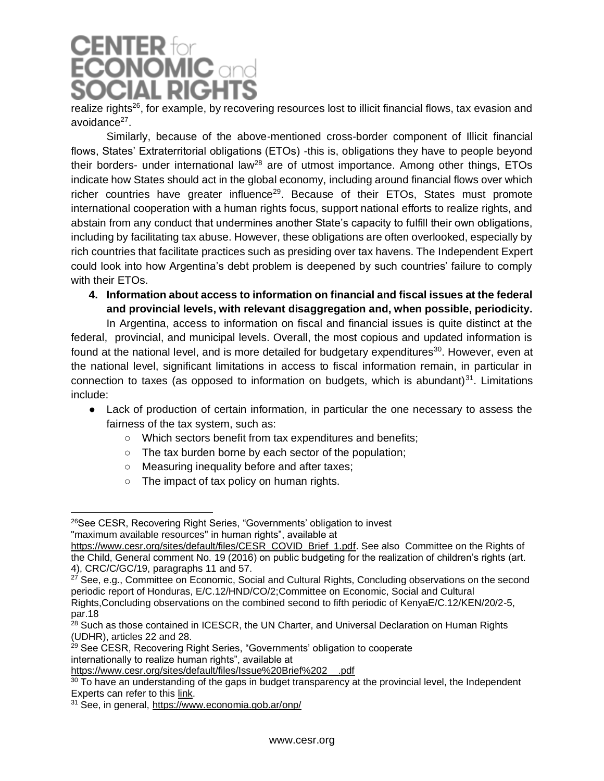## **CENTER for**<br>**ECONOMIC** and **SOCIAL RIGH**

realize rights<sup>26</sup>, for example, by recovering resources lost to illicit financial flows, tax evasion and avoidance<sup>27</sup>.

Similarly, because of the above-mentioned cross-border component of Illicit financial flows, States' Extraterritorial obligations (ETOs) -this is, obligations they have to people beyond their borders- under international law<sup>28</sup> are of utmost importance. Among other things, ETOs indicate how States should act in the global economy, including around financial flows over which richer countries have greater influence<sup>29</sup>. Because of their ETOs, States must promote international cooperation with a human rights focus, support national efforts to realize rights, and abstain from any conduct that undermines another State's capacity to fulfill their own obligations, including by facilitating tax abuse. However, these obligations are often overlooked, especially by rich countries that facilitate practices such as presiding over tax havens. The Independent Expert could look into how Argentina's debt problem is deepened by such countries' failure to comply with their ETOs.

**4. Information about access to information on financial and fiscal issues at the federal and provincial levels, with relevant disaggregation and, when possible, periodicity.**

In Argentina, access to information on fiscal and financial issues is quite distinct at the federal, provincial, and municipal levels. Overall, the most copious and updated information is found at the national level, and is more detailed for budgetary expenditures $30$ . However, even at the national level, significant limitations in access to fiscal information remain, in particular in connection to taxes (as opposed to information on budgets, which is abundant) $31$ . Limitations include:

- Lack of production of certain information, in particular the one necessary to assess the fairness of the tax system, such as:
	- Which sectors benefit from tax expenditures and benefits;
	- The tax burden borne by each sector of the population;
	- Measuring inequality before and after taxes;
	- The impact of tax policy on human rights.

<sup>26</sup>See CESR, Recovering Right Series, "Governments' obligation to invest "maximum available resources" in human rights", available at

[https://www.cesr.org/sites/default/files/CESR\\_COVID\\_Brief\\_1.pdf.](https://www.cesr.org/sites/default/files/CESR_COVID_Brief_1.pdf) See also Committee on the Rights of the Child, General comment No. 19 (2016) on public budgeting for the realization of children's rights (art. 4), CRC/C/GC/19, paragraphs 11 and 57.

 $27$  See, e.g., Committee on Economic, Social and Cultural Rights, Concluding observations on the second periodic report of Honduras, E/C.12/HND/CO/2;Committee on Economic, Social and Cultural

Rights,Concluding observations on the combined second to fifth periodic of KenyaE/C.12/KEN/20/2-5, par.18

<sup>&</sup>lt;sup>28</sup> Such as those contained in ICESCR, the UN Charter, and Universal Declaration on Human Rights (UDHR), articles 22 and 28.

<sup>&</sup>lt;sup>29</sup> See CESR, Recovering Right Series, "Governments' obligation to cooperate internationally to realize human rights", available at

[https://www.cesr.org/sites/default/files/Issue%20Brief%202\\_\\_.pdf](https://www.cesr.org/sites/default/files/Issue%20Brief%202__.pdf)

 $30$  To have an understanding of the gaps in budget transparency at the provincial level, the Independent Experts can refer to this [link.](https://www.cippec.org/wp-content/uploads/2021/03/228-DPP-Indice-de-Transparencia-Presupuestaria-Provincial-2020-Nino-y-La...-1.pdf)

<sup>31</sup> See, in general,<https://www.economia.gob.ar/onp/>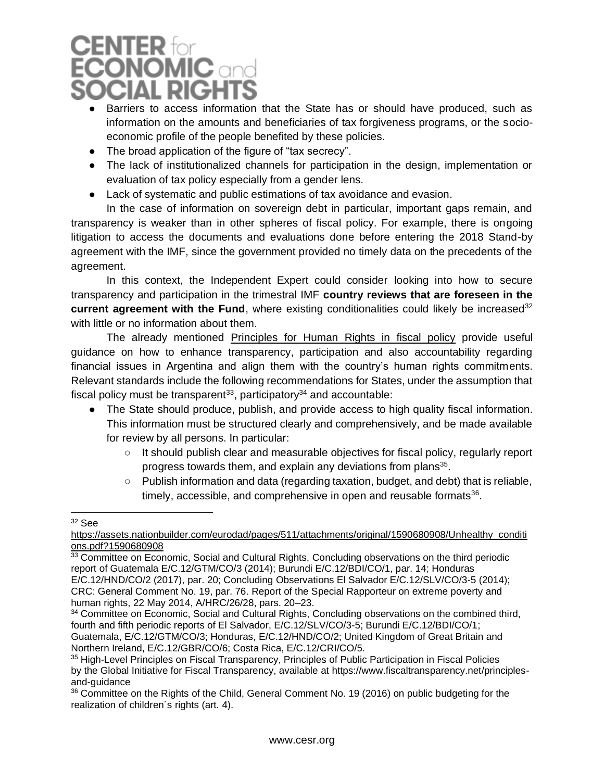### **CENTER** for **CONOMIC and DCIAL RIGH**

- Barriers to access information that the State has or should have produced, such as information on the amounts and beneficiaries of tax forgiveness programs, or the socioeconomic profile of the people benefited by these policies.
- The broad application of the figure of "tax secrecy".
- The lack of institutionalized channels for participation in the design, implementation or evaluation of tax policy especially from a gender lens.
- Lack of systematic and public estimations of tax avoidance and evasion.

In the case of information on sovereign debt in particular, important gaps remain, and transparency is weaker than in other spheres of fiscal policy. For example, there is ongoing litigation to access the documents and evaluations done before entering the 2018 Stand-by agreement with the IMF, since the government provided no timely data on the precedents of the agreement.

In this context, the Independent Expert could consider looking into how to secure transparency and participation in the trimestral IMF **country reviews that are foreseen in the current agreement with the Fund**, where existing conditionalities could likely be increased<sup>32</sup> with little or no information about them.

The already mentioned Principles for Human Rights in fiscal policy provide useful guidance on how to enhance transparency, participation and also accountability regarding financial issues in Argentina and align them with the country's human rights commitments. Relevant standards include the following recommendations for States, under the assumption that fiscal policy must be transparent<sup>33</sup>, participatory<sup>34</sup> and accountable:

- The State should produce, publish, and provide access to high quality fiscal information. This information must be structured clearly and comprehensively, and be made available for review by all persons. In particular:
	- It should publish clear and measurable objectives for fiscal policy, regularly report progress towards them, and explain any deviations from plans<sup>35</sup>.
	- Publish information and data (regarding taxation, budget, and debt) that is reliable, timely, accessible, and comprehensive in open and reusable formats<sup>36</sup>.

 $32$  See

[https://assets.nationbuilder.com/eurodad/pages/511/attachments/original/1590680908/Unhealthy\\_conditi](https://assets.nationbuilder.com/eurodad/pages/511/attachments/original/1590680908/Unhealthy_conditions.pdf?1590680908) [ons.pdf?1590680908](https://assets.nationbuilder.com/eurodad/pages/511/attachments/original/1590680908/Unhealthy_conditions.pdf?1590680908)

<sup>&</sup>lt;sup>33</sup> Committee on Economic, Social and Cultural Rights, Concluding observations on the third periodic report of Guatemala E/C.12/GTM/CO/3 (2014); Burundi E/C.12/BDI/CO/1, par. 14; Honduras E/C.12/HND/CO/2 (2017), par. 20; Concluding Observations El Salvador E/C.12/SLV/CO/3-5 (2014); CRC: General Comment No. 19, par. 76. Report of the Special Rapporteur on extreme poverty and human rights, 22 May 2014, A/HRC/26/28, pars. 20–23.

<sup>&</sup>lt;sup>34</sup> Committee on Economic, Social and Cultural Rights, Concluding observations on the combined third, fourth and fifth periodic reports of El Salvador, E/C.12/SLV/CO/3-5; Burundi E/C.12/BDI/CO/1; Guatemala, E/C.12/GTM/CO/3; Honduras, E/C.12/HND/CO/2; United Kingdom of Great Britain and Northern Ireland, E/C.12/GBR/CO/6; Costa Rica, E/C.12/CRI/CO/5.

<sup>&</sup>lt;sup>35</sup> High-Level Principles on Fiscal Transparency, Principles of Public Participation in Fiscal Policies by the Global Initiative for Fiscal Transparency, available at https://www.fiscaltransparency.net/principlesand-guidance

<sup>&</sup>lt;sup>36</sup> Committee on the Rights of the Child, General Comment No. 19 (2016) on public budgeting for the realization of children´s rights (art. 4).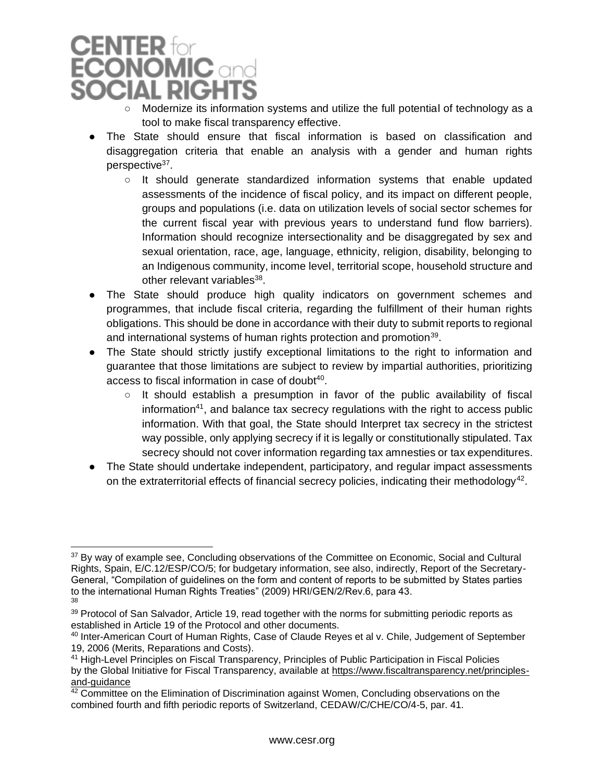### **CENTER** for **CONOMIC** and CIAL RIG<del>I</del>

- Modernize its information systems and utilize the full potential of technology as a tool to make fiscal transparency effective.
- The State should ensure that fiscal information is based on classification and disaggregation criteria that enable an analysis with a gender and human rights perspective<sup>37</sup>.
	- $\circ$  It should generate standardized information systems that enable updated assessments of the incidence of fiscal policy, and its impact on different people, groups and populations (i.e. data on utilization levels of social sector schemes for the current fiscal year with previous years to understand fund flow barriers). Information should recognize intersectionality and be disaggregated by sex and sexual orientation, race, age, language, ethnicity, religion, disability, belonging to an Indigenous community, income level, territorial scope, household structure and other relevant variables<sup>38</sup>.
- The State should produce high quality indicators on government schemes and programmes, that include fiscal criteria, regarding the fulfillment of their human rights obligations. This should be done in accordance with their duty to submit reports to regional and international systems of human rights protection and promotion<sup>39</sup>.
- The State should strictly justify exceptional limitations to the right to information and guarantee that those limitations are subject to review by impartial authorities, prioritizing access to fiscal information in case of doubt<sup>40</sup>.
	- $\circ$  It should establish a presumption in favor of the public availability of fiscal information<sup>41</sup>, and balance tax secrecy regulations with the right to access public information. With that goal, the State should Interpret tax secrecy in the strictest way possible, only applying secrecy if it is legally or constitutionally stipulated. Tax secrecy should not cover information regarding tax amnesties or tax expenditures.
- The State should undertake independent, participatory, and regular impact assessments on the extraterritorial effects of financial secrecy policies, indicating their methodology<sup>42</sup>.

<sup>&</sup>lt;sup>37</sup> By way of example see, Concluding observations of the Committee on Economic, Social and Cultural Rights, Spain, E/C.12/ESP/CO/5; for budgetary information, see also, indirectly, Report of the Secretary-General, "Compilation of guidelines on the form and content of reports to be submitted by States parties to the international Human Rights Treaties" (2009) HRI/GEN/2/Rev.6, para 43. 38

<sup>&</sup>lt;sup>39</sup> Protocol of San Salvador, Article 19, read together with the norms for submitting periodic reports as established in Article 19 of the Protocol and other documents.

<sup>40</sup> Inter-American Court of Human Rights, Case of Claude Reyes et al v. Chile, Judgement of September 19, 2006 (Merits, Reparations and Costs).

<sup>41</sup> High-Level Principles on Fiscal Transparency, Principles of Public Participation in Fiscal Policies by the Global Initiative for Fiscal Transparency, available at [https://www.fiscaltransparency.net/principles](https://www.fiscaltransparency.net/principles-and-guidance)[and-guidance](https://www.fiscaltransparency.net/principles-and-guidance)

<sup>&</sup>lt;sup>42</sup> Committee on the Elimination of Discrimination against Women, Concluding observations on the combined fourth and fifth periodic reports of Switzerland, CEDAW/C/CHE/CO/4-5, par. 41.